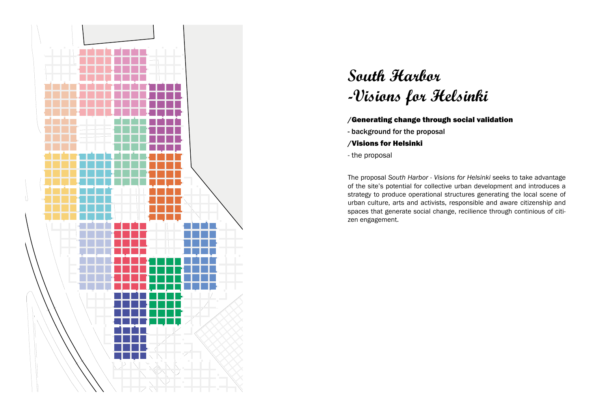

# **South Harbor -Visions for Helsinki**

#### /Generating change through social validation

- background for the proposal
- /Visions for Helsinki
- the proposal

The proposal *South Harbor - Visions for Helsinki* seeks to take advantage of the site's potential for collective urban development and introduces a strategy to produce operational structures generating the local scene of urban culture, arts and activists, responsible and aware citizenship and spaces that generate social change, recilience through continious of citizen engagement.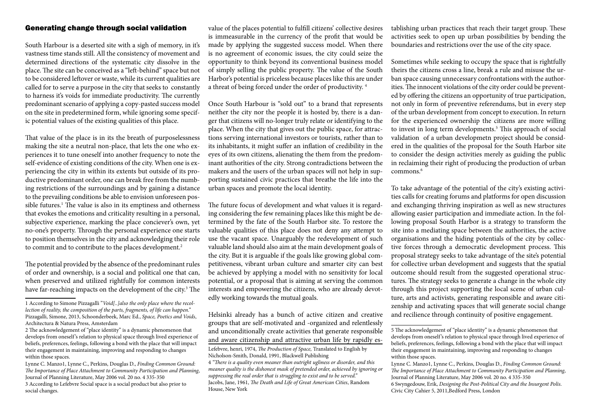South Harbour is a deserted site with a sigh of memory, in it's vastness time stands still. All the consistency of movement and determined directions of the systematic city dissolve in the place. The site can be conceived as a "left-behind" space but not to be considered leftover or waste, while its current qualities are called for to serve a purpose in the city that seeks to constantly to harness it's voids for immediate productivity. The currently predominant scenario of applying a copy-pasted success model on the site in predetermined form, while ignoring some specific potential values of the existing qualities of this place.

That value of the place is in its the breath of purposelessness making the site a neutral non-place, that lets the one who experiences it to tune oneself into another frequency to note the self-evidence of existing conditions of the city. When one is experiencing the city in within its extents but outside of its productive predominant order, one can break free from the numbing restrictions of the surroundings and by gaining a distance to the prevailing conditions be able to envision unforeseen possible futures.<sup>1</sup> The value is also in its emptiness and otherness that evokes the emotions and criticality resulting in a personal, subjective experience, marking the place conciever's own, yet no-one's property. Through the personal experience one starts to position themselves in the city and acknowledging their role to commit and to contribute to the places development.<sup>2</sup>

The potential provided by the absence of the predominant rules of order and ownership, is a social and political one that can, when preserved and utilized rightfully for common interests have far-reaching impacts on the development of the city.<sup>3</sup> The

is immeasurable in the currency of the profit that would be made by applying the suggested success model. When there is no agreement of economic issues, the city could seize the opportunity to think beyond its conventional business model of simply selling the public property. The value of the South Harbor's potential is priceless because places like this are under a threat of being forced under the order of productivity. 4

Once South Harbour is "sold out" to a brand that represents neither the city nor the people it is hosted by, there is a danger that citizens will no-longer truly relate or identifying to the place. When the city that gives out the public space, for attractions serving international investors or tourists, rather than to its inhabitants, it might suffer an inflation of credibility in the eyes of its own citizens, alienating the them from the predominant authorities of the city. Strong contradictions between the makers and the users of the urban spaces will not help in supporting sustained civic practices that breathe the life into the urban spaces and promote the local identity.

The future focus of development and what values it is regarding considering the few remaining places like this might be determined by the fate of the South Harbor site. To restore the valuable qualities of this place does not deny any attempt to use the vacant space. Unarguably the redevelopment of such valuable land should also aim at the main development goals of the city. But it is arguable if the goals like growing global competitiveness, vibrant urban culture and smarter city can best be achieved by applying a model with no sensitivity for local potential, or a proposal that is aiming at serving the common interests and empowering the citizens, who are already devotedly working towards the mutual goals.

Helsinki already has a bunch of active citizen and creative groups that are self-motivated and -organized and relentlessly and unconditionally create activities that generate responsible and aware citizenship and attractive urban life by rapidly es-

Generating change through social validation walue of the places potential to fulfill citizens' collective desires tablishing urban practices that reach their target group. These activities seek to open up urban possibilities by bending the boundaries and restrictions over the use of the city space.

> Sometimes while seeking to occupy the space that is rightfully theirs the citizens cross a line, break a rule and misuse the urban space causing unnecessary confrontations with the authorities. The innocent violations of the city order could be prevented by offering the citizens an opportunity of true participation, not only in form of preventive referendums, but in every step of the urban development from concept to execution. In return for the experienced ownership the citizens are more willing to invest in long term developments.<sup>5</sup> This approach of social validation of a urban developmetn project should be considered in the qualities of the proposal for the South Harbor site to consider the design activities merely as guiding the public in reclaiming their right of producing the production of urban commons.<sup>6</sup>

> To take advantage of the potential of the city's existing activities calls for creating forums and platforms for open discussion and exchanging thriving inspiration as well as new structures allowing easier participation and immediate action. In the following proposal South Harbor is a strategy to transform the site into a mediating space between the authorities, the active organisations and the hiding potentials of the city by collective forces through a democratic development process. This proposal strategy seeks to take advantage of the site's potential for collective urban development and suggests that the spatial outcome should result from the suggested operational structures. The strategy seeks to generate a change in the whole city through this project supporting the local scene of urban culture, arts and activists, generating responsible and aware citizenship and activating spaces that will generate social change and recilience through continuity of positive engagement.

<sup>1</sup> According to Simone Pizzagalli "*Void[..]also the only place where the recollection of reality, the composition of the parts, fragments, of life can happen."* Pizzagalli, Simone, 2013, Schoonderbeek, Marc Ed., *Space, Poetics and Voids*, Architectura & Natura Press, Amsterdam

<sup>2</sup> The acknowledgement of "place identity" is a dynamic phenomenon that develops from oneself 's relation to physical space through lived experience of beliefs, preferences, feelings, following a bond with the place that will impact their engagement in maintaining, improving and responding to changes within those spaces.

Lynne C. Manzo1, Lynne C., Perkins, Douglas D., *Finding Common Ground: The Importance of Place Attachment to Community Participation and Planning*, Journal of Planning Literature, May 2006 vol. 20 no. 4 335-350 3 According to Lefebvre Social space is a social product but also prior to social changes.

Lefebvre, henri, 1974, *The Production of Space,* Translated to English by Nicholson-Smith, Donald, 1991, Blackwell Publishing 4 *"There is a quality even meaner than outright ugliness or disorder, and this meaner quality is the dishonest mask of pretended order, achieved by ignoring or suppressing the real order that is struggling to exist and to be served."* Jacobs, Jane, 1961, *The Death and Life of Great American Cities*, Random House, New York

<sup>5</sup> The acknowledgement of "place identity" is a dynamic phenomenon that develops from oneself's relation to physical space through lived experience of beliefs, preferences, feelings, following a bond with the place that will impact their engagement in maintaining, improving and responding to changes within those spaces.

Lynne C. Manzo1, Lynne C., Perkins, Douglas D., *Finding Common Ground: The Importance of Place Attachment to Community Participation and Planning*, Journal of Planning Literature, May 2006 vol. 20 no. 4 335-350 6 Swyngedouw, Erik, *Designing the Post-Political City and the Insurgent Polis*. Civic City Cahier 5, 2011,Bedford Press, London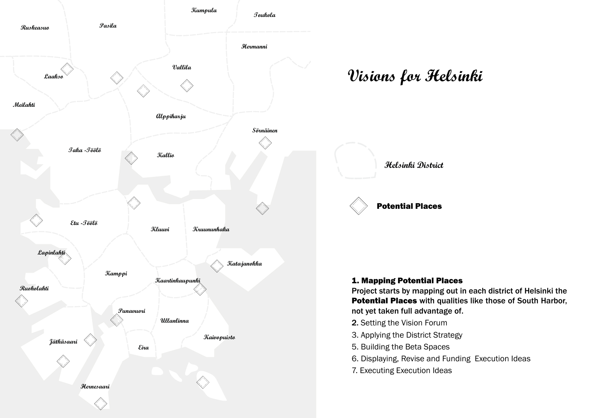

# $\bm{\mathit{V} is}$ ions for Helsinki



# 1. Mapping Potential Places

Project starts by manning out in each district Project starts by mapping out in each district of Helsinki the Potential Places with qualities like those of South Harbor, not yet taken full advantage of.

- the idea 2. Setting the Vision Forum
- 3. Applying the Dictrict Ctrategy 3. Applying the District Strategy
- 5. Building the Beta Spaces
- 6. Displaying, Revise and Funding Execution Ideas
- 7. Executing Execution Ideas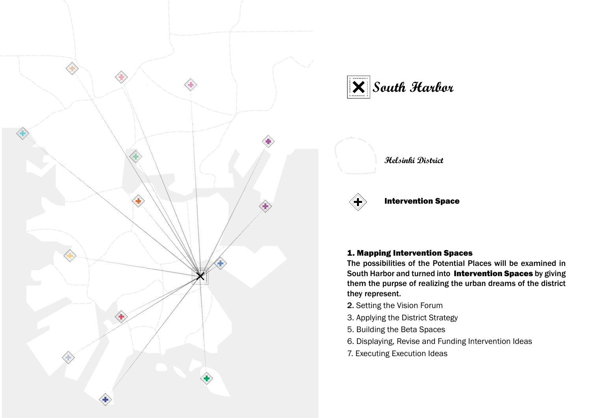

![](_page_3_Picture_1.jpeg)

### **Helsinki District**

![](_page_3_Picture_3.jpeg)

### Intervention Space

#### 1. Mapping Intervention Spaces

**Etelasatama** them the purpse of realizing the urban dreams of the district they represent. The possibilities of the Potential Places will be examined in South Harbor and turned into Intervention Spaces by giving

- 2. Setting the Vision Forum
- 3. Applying the District Strategy
- 5. Building the Beta Spaces
- 6. Displaying, Revise and Funding Intervention Ideas
- 7. Executing Execution Ideas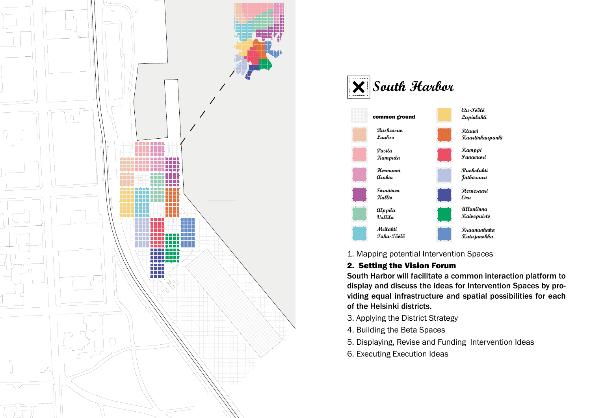![](_page_4_Figure_0.jpeg)

![](_page_4_Picture_1.jpeg)

1. Mapping potential Intervention Spaces

# 2. Setting the Vision Forum

South Harbor will facilitate a common interaction platform to display and discuss the ideas for Intervention Spaces by providing equal infrastructure and spatial possibilities for each of the Helsinki districts.

- 3. Applying the District Strategy
- 4. Building the Beta Spaces
- 5. Displaying, Revise and Funding Intervention Ideas
- 6. Executing Execution Ideas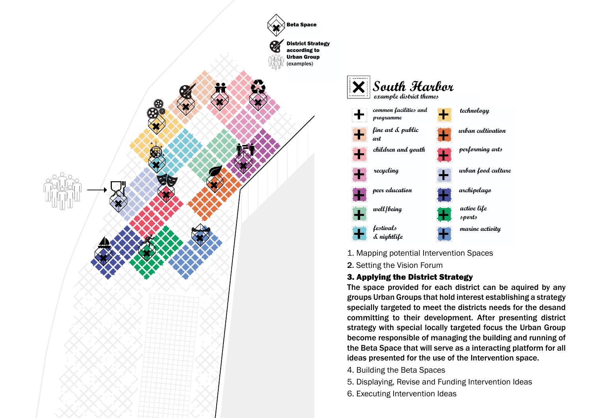![](_page_5_Figure_0.jpeg)

![](_page_5_Figure_1.jpeg)

1. Mapping potential Intervention Spaces

2. Setting the Vision Forum

# 3. Applying the District Strategy

The space provided for each district can be aquired by any groups Urban Groups that hold interest establishing a strategy specially targeted to meet the districts needs for the desand committing to their development. After presenting district strategy with special locally targeted focus the Urban Group become responsible of managing the building and running of the Beta Space that will serve as a interacting platform for all ideas presented for the use of the Intervention space.

- 4. Building the Beta Spaces
- 5. Displaying, Revise and Funding Intervention Ideas
- 6. Executing Intervention Ideas